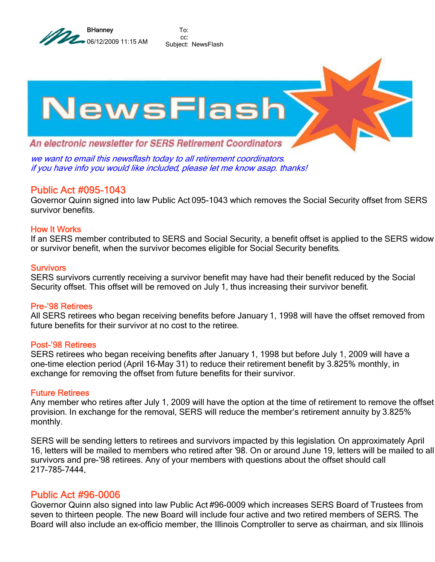

To: cc: Subject: NewsFlash



we want to email this newsflash today to all retirement coordinators. if you have info you would like included, please let me know asap. thanks!

## Public Act #095-1043

Governor Quinn signed into law Public Act 095-1043 which removes the Social Security offset from SERS survivor benefits.

### How It Works

If an SERS member contributed to SERS and Social Security, a benefit offset is applied to the SERS widow or survivor benefit, when the survivor becomes eligible for Social Security benefits.

#### **Survivors**

SERS survivors currently receiving a survivor benefit may have had their benefit reduced by the Social Security offset. This offset will be removed on July 1, thus increasing their survivor benefit.

#### Pre-'98 Retirees

All SERS retirees who began receiving benefits before January 1, 1998 will have the offset removed from future benefits for their survivor at no cost to the retiree.

#### Post-'98 Retirees

SERS retirees who began receiving benefits after January 1, 1998 but before July 1, 2009 will have a one-time election period (April 16–May 31) to reduce their retirement benefit by 3.825% monthly, in exchange for removing the offset from future benefits for their survivor.

#### Future Retirees

Any member who retires after July 1, 2009 will have the option at the time of retirement to remove the offset provision. In exchange for the removal, SERS will reduce the member's retirement annuity by 3.825% monthly.

SERS will be sending letters to retirees and survivors impacted by this legislation. On approximately April 16, letters will be mailed to members who retired after '98. On or around June 19, letters will be mailed to all survivors and pre-'98 retirees. Any of your members with questions about the offset should call 217-785-7444.

## Public Act #96-0006

Governor Quinn also signed into law Public Act #96-0009 which increases SERS Board of Trustees from seven to thirteen people. The new Board will include four active and two retired members of SERS. The Board will also include an ex-officio member, the Illinois Comptroller to serve as chairman, and six Illinois